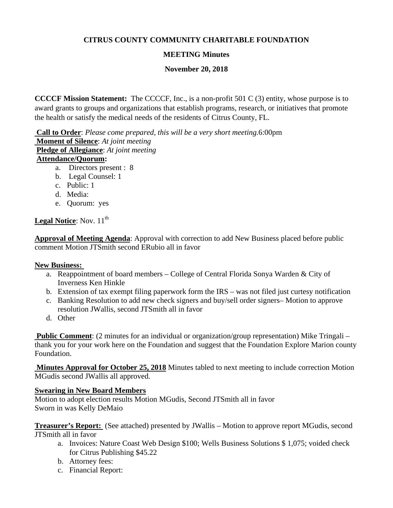## **CITRUS COUNTY COMMUNITY CHARITABLE FOUNDATION**

# **MEETING Minutes**

### **November 20, 2018**

**CCCCF Mission Statement:** The CCCCF, Inc., is a non-profit 501 C (3) entity, whose purpose is to award grants to groups and organizations that establish programs, research, or initiatives that promote the health or satisfy the medical needs of the residents of Citrus County, FL.

**Call to Order**: *Please come prepared, this will be a very short meeting.*6:00pm **Moment of Silence**: *At joint meeting* **Pledge of Allegiance**: *At joint meeting* **Attendance/Quorum:** 

- a. Directors present : 8
- b. Legal Counsel: 1
- c. Public: 1
- d. Media:
- e. Quorum: yes

### **Legal Notice**: Nov.  $11<sup>th</sup>$

**Approval of Meeting Agenda**: Approval with correction to add New Business placed before public comment Motion JTSmith second ERubio all in favor

#### **New Business:**

- a. Reappointment of board members College of Central Florida Sonya Warden & City of Inverness Ken Hinkle
- b. Extension of tax exempt filing paperwork form the IRS was not filed just curtesy notification
- c. Banking Resolution to add new check signers and buy/sell order signers– Motion to approve resolution JWallis, second JTSmith all in favor
- d. Other

**Public Comment:** (2 minutes for an individual or organization/group representation) Mike Tringali – thank you for your work here on the Foundation and suggest that the Foundation Explore Marion county Foundation.

**Minutes Approval for October 25, 2018** Minutes tabled to next meeting to include correction Motion MGudis second JWallis all approved.

#### **Swearing in New Board Members**

Motion to adopt election results Motion MGudis, Second JTSmith all in favor Sworn in was Kelly DeMaio

**Treasurer's Report:** (See attached) presented by JWallis – Motion to approve report MGudis, second JTSmith all in favor

- a. Invoices: Nature Coast Web Design \$100; Wells Business Solutions \$ 1,075; voided check for Citrus Publishing \$45.22
- b. Attorney fees:
- c. Financial Report: